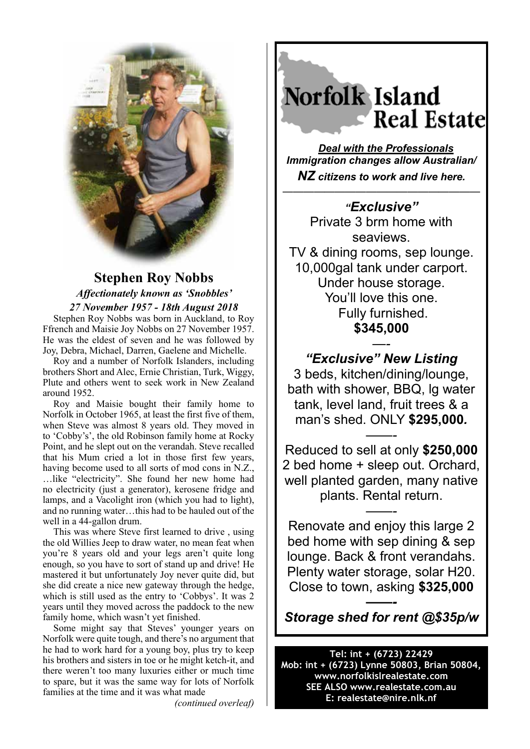

## **Stephen Roy Nobbs**  *Affectionately known as 'Snobbles' 27 November 1957 - 18th August 2018*

Stephen Roy Nobbs was born in Auckland, to Roy Ffrench and Maisie Joy Nobbs on 27 November 1957. He was the eldest of seven and he was followed by Joy, Debra, Michael, Darren, Gaelene and Michelle.

Roy and a number of Norfolk Islanders, including brothers Short and Alec, Ernie Christian, Turk, Wiggy, Plute and others went to seek work in New Zealand around 1952.

Roy and Maisie bought their family home to Norfolk in October 1965, at least the first five of them, when Steve was almost 8 years old. They moved in to 'Cobby's', the old Robinson family home at Rocky Point, and he slept out on the verandah. Steve recalled that his Mum cried a lot in those first few years, having become used to all sorts of mod cons in N.Z., …like "electricity". She found her new home had no electricity (just a generator), kerosene fridge and lamps, and a Vacolight iron (which you had to light), and no running water…this had to be hauled out of the well in a 44-gallon drum.

This was where Steve first learned to drive , using the old Willies Jeep to draw water, no mean feat when you're 8 years old and your legs aren't quite long enough, so you have to sort of stand up and drive! He mastered it but unfortunately Joy never quite did, but she did create a nice new gateway through the hedge, which is still used as the entry to 'Cobbys'. It was 2 years until they moved across the paddock to the new family home, which wasn't yet finished.

Some might say that Steves' younger years on Norfolk were quite tough, and there's no argument that he had to work hard for a young boy, plus try to keep his brothers and sisters in toe or he might ketch-it, and there weren't too many luxuries either or much time to spare, but it was the same way for lots of Norfolk families at the time and it was what made

*(continued overleaf)*

## Norfolk Island **Real Estate**

*Deal with the Professionals Immigration changes allow Australian/ NZ citizens to work and live here.*

 $\overline{\phantom{a}}$  , and the contract of the contract of the contract of the contract of the contract of the contract of the contract of the contract of the contract of the contract of the contract of the contract of the contrac

*"Exclusive"*  Private 3 brm home with seaviews. TV & dining rooms, sep lounge. 10,000gal tank under carport. Under house storage. You'll love this one. Fully furnished. **\$345,000** 

*—- "Exclusive" New Listing* 3 beds, kitchen/dining/lounge, bath with shower, BBQ, lg water tank, level land, fruit trees & a man's shed. ONLY **\$295,000***. ——-*

Reduced to sell at only **\$250,000** 2 bed home + sleep out. Orchard, well planted garden, many native plants. Rental return.

*——-*

Renovate and enjoy this large 2 bed home with sep dining & sep lounge. Back & front verandahs. Plenty water storage, solar H20. Close to town, asking **\$325,000**

*——- Storage shed for rent @\$35p/w*

**Tel: int + (6723) 22429 Mob: int + (6723) Lynne 50803, Brian 50804, www.norfolkislrealestate.com SEE ALSO www.realestate.com.au E: realestate@nire.nlk.nf**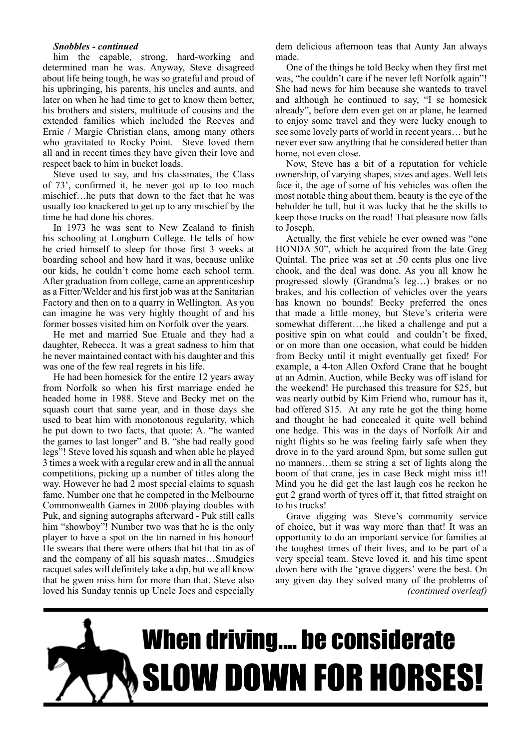#### *Snobbles - continued*

him the capable, strong, hard-working and determined man he was. Anyway, Steve disagreed about life being tough, he was so grateful and proud of his upbringing, his parents, his uncles and aunts, and later on when he had time to get to know them better, his brothers and sisters, multitude of cousins and the extended families which included the Reeves and Ernie / Margie Christian clans, among many others who gravitated to Rocky Point. Steve loved them all and in recent times they have given their love and respect back to him in bucket loads.

Steve used to say, and his classmates, the Class of 73', confirmed it, he never got up to too much mischief…he puts that down to the fact that he was usually too knackered to get up to any mischief by the time he had done his chores.

In 1973 he was sent to New Zealand to finish his schooling at Longburn College. He tells of how he cried himself to sleep for those first 3 weeks at boarding school and how hard it was, because unlike our kids, he couldn't come home each school term. After graduation from college, came an apprenticeship as a Fitter/Welder and his first job was at the Sanitarian Factory and then on to a quarry in Wellington. As you can imagine he was very highly thought of and his former bosses visited him on Norfolk over the years.

He met and married Sue Etuale and they had a daughter, Rebecca. It was a great sadness to him that he never maintained contact with his daughter and this was one of the few real regrets in his life.

He had been homesick for the entire 12 years away from Norfolk so when his first marriage ended he headed home in 1988. Steve and Becky met on the squash court that same year, and in those days she used to beat him with monotonous regularity, which he put down to two facts, that quote: A. "he wanted the games to last longer" and B. "she had really good legs"! Steve loved his squash and when able he played 3 times a week with a regular crew and in all the annual competitions, picking up a number of titles along the way. However he had 2 most special claims to squash fame. Number one that he competed in the Melbourne Commonwealth Games in 2006 playing doubles with Puk, and signing autographs afterward - Puk still calls him "showboy"! Number two was that he is the only player to have a spot on the tin named in his honour! He swears that there were others that hit that tin as of and the company of all his squash mates…Smudgies racquet sales will definitely take a dip, but we all know that he gwen miss him for more than that. Steve also loved his Sunday tennis up Uncle Joes and especially

dem delicious afternoon teas that Aunty Jan always made.

One of the things he told Becky when they first met was, "he couldn't care if he never left Norfolk again"! She had news for him because she wanteds to travel and although he continued to say, "I se homesick already", before dem even get on ar plane, he learned to enjoy some travel and they were lucky enough to see some lovely parts of world in recent years… but he never ever saw anything that he considered better than home, not even close.

Now, Steve has a bit of a reputation for vehicle ownership, of varying shapes, sizes and ages. Well lets face it, the age of some of his vehicles was often the most notable thing about them, beauty is the eye of the beholder he tull, but it was lucky that he the skills to keep those trucks on the road! That pleasure now falls to Joseph.

Actually, the first vehicle he ever owned was "one HONDA 50", which he acquired from the late Greg Quintal. The price was set at .50 cents plus one live chook, and the deal was done. As you all know he progressed slowly (Grandma's leg…) brakes or no brakes, and his collection of vehicles over the years has known no bounds! Becky preferred the ones that made a little money, but Steve's criteria were somewhat different….he liked a challenge and put a positive spin on what could and couldn't be fixed, or on more than one occasion, what could be hidden from Becky until it might eventually get fixed! For example, a 4-ton Allen Oxford Crane that he bought at an Admin. Auction, while Becky was off island for the weekend! He purchased this treasure for \$25, but was nearly outbid by Kim Friend who, rumour has it, had offered \$15. At any rate he got the thing home and thought he had concealed it quite well behind one hedge. This was in the days of Norfolk Air and night flights so he was feeling fairly safe when they drove in to the yard around 8pm, but some sullen gut no manners…them se string a set of lights along the boom of that crane, jes in case Beck might miss it!! Mind you he did get the last laugh cos he reckon he gut 2 grand worth of tyres off it, that fitted straight on to his trucks!

Grave digging was Steve's community service of choice, but it was way more than that! It was an opportunity to do an important service for families at the toughest times of their lives, and to be part of a very special team. Steve loved it, and his time spent down here with the 'grave diggers' were the best. On any given day they solved many of the problems of *(continued overleaf)*

# When driving.... be considerate SLOW DOWN FOR HORSES!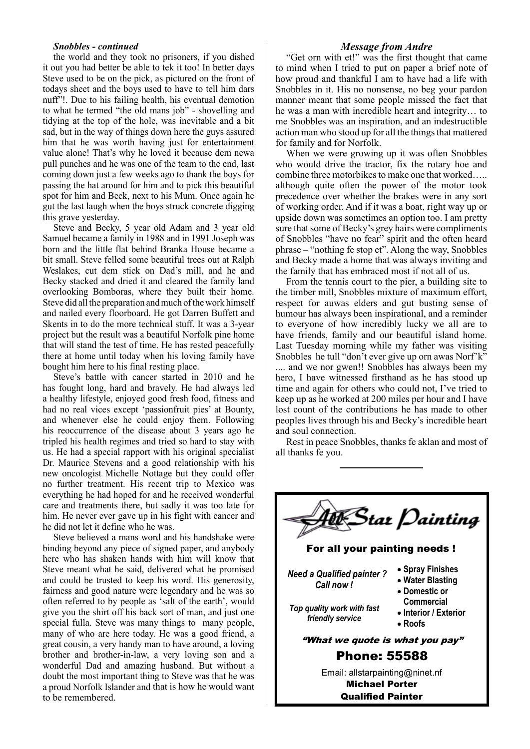#### *Snobbles - continued*

the world and they took no prisoners, if you dished it out you had better be able to tek it too! In better days Steve used to be on the pick, as pictured on the front of todays sheet and the boys used to have to tell him dars nuff"!. Due to his failing health, his eventual demotion to what he termed "the old mans job" - shovelling and tidying at the top of the hole, was inevitable and a bit sad, but in the way of things down here the guys assured him that he was worth having just for entertainment value alone! That's why he loved it because dem newa pull punches and he was one of the team to the end, last coming down just a few weeks ago to thank the boys for passing the hat around for him and to pick this beautiful spot for him and Beck, next to his Mum. Once again he gut the last laugh when the boys struck concrete digging this grave yesterday.

Steve and Becky, 5 year old Adam and 3 year old Samuel became a family in 1988 and in 1991 Joseph was born and the little flat behind Branka House became a bit small. Steve felled some beautiful trees out at Ralph Weslakes, cut dem stick on Dad's mill, and he and Becky stacked and dried it and cleared the family land overlooking Bomboras, where they built their home. Steve did all the preparation and much of the work himself and nailed every floorboard. He got Darren Buffett and Skents in to do the more technical stuff. It was a 3-year project but the result was a beautiful Norfolk pine home that will stand the test of time. He has rested peacefully there at home until today when his loving family have bought him here to his final resting place.

Steve's battle with cancer started in 2010 and he has fought long, hard and bravely. He had always led a healthy lifestyle, enjoyed good fresh food, fitness and had no real vices except 'passionfruit pies' at Bounty, and whenever else he could enjoy them. Following his reoccurrence of the disease about 3 years ago he tripled his health regimes and tried so hard to stay with us. He had a special rapport with his original specialist Dr. Maurice Stevens and a good relationship with his new oncologist Michelle Nottage but they could offer no further treatment. His recent trip to Mexico was everything he had hoped for and he received wonderful care and treatments there, but sadly it was too late for him. He never ever gave up in his fight with cancer and he did not let it define who he was.

Steve believed a mans word and his handshake were binding beyond any piece of signed paper, and anybody here who has shaken hands with him will know that Steve meant what he said, delivered what he promised and could be trusted to keep his word. His generosity, fairness and good nature were legendary and he was so often referred to by people as 'salt of the earth', would give you the shirt off his back sort of man, and just one special fulla. Steve was many things to many people, many of who are here today. He was a good friend, a great cousin, a very handy man to have around, a loving brother and brother-in-law, a very loving son and a wonderful Dad and amazing husband. But without a doubt the most important thing to Steve was that he was a proud Norfolk Islander and that is how he would want to be remembered.

#### *Message from Andre*

"Get orn with et!" was the first thought that came to mind when I tried to put on paper a brief note of how proud and thankful I am to have had a life with Snobbles in it. His no nonsense, no beg your pardon manner meant that some people missed the fact that he was a man with incredible heart and integrity… to me Snobbles was an inspiration, and an indestructible action man who stood up for all the things that mattered for family and for Norfolk.

When we were growing up it was often Snobbles who would drive the tractor, fix the rotary hoe and combine three motorbikes to make one that worked….. although quite often the power of the motor took precedence over whether the brakes were in any sort of working order. And if it was a boat, right way up or upside down was sometimes an option too. I am pretty sure that some of Becky's grey hairs were compliments of Snobbles "have no fear" spirit and the often heard phrase – "nothing fe stop et". Along the way, Snobbles and Becky made a home that was always inviting and the family that has embraced most if not all of us.

From the tennis court to the pier, a building site to the timber mill, Snobbles mixture of maximum effort, respect for auwas elders and gut busting sense of humour has always been inspirational, and a reminder to everyone of how incredibly lucky we all are to have friends, family and our beautiful island home. Last Tuesday morning while my father was visiting Snobbles he tull "don't ever give up orn awas Norf'k" .... and we nor gwen!! Snobbles has always been my hero, I have witnessed firsthand as he has stood up time and again for others who could not, I've tried to keep up as he worked at 200 miles per hour and I have lost count of the contributions he has made to other peoples lives through his and Becky's incredible heart and soul connection.

Rest in peace Snobbles, thanks fe aklan and most of all thanks fe you.



Qualified Painter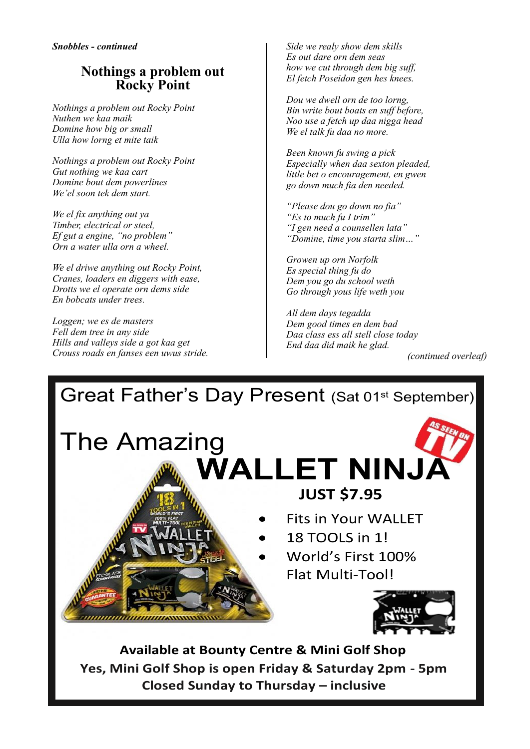## **Nothings a problem out Rocky Point**

*Nothings a problem out Rocky Point Nuthen we kaa maik Domine how big or small Ulla how lorng et mite taik*

*Nothings a problem out Rocky Point Gut nothing we kaa cart Domine bout dem powerlines We'el soon tek dem start.*

*We el fix anything out ya Timber, electrical or steel, Ef gut a engine, "no problem" Orn a water ulla orn a wheel.*

*We el driwe anything out Rocky Point, Cranes, loaders en diggers with ease, Drotts we el operate orn dems side En bobcats under trees.*

*Loggen; we es de masters Fell dem tree in any side Hills and valleys side a got kaa get Crouss roads en fanses een uwus stride.* *Side we realy show dem skills Es out dare orn dem seas how we cut through dem big suff, El fetch Poseidon gen hes knees.*

*Dou we dwell orn de too lorng, Bin write bout boats en suff before, Noo use a fetch up daa nigga head We el talk fu daa no more.*

*Been known fu swing a pick Especially when daa sexton pleaded, little bet o encouragement, en gwen go down much fia den needed.*

*"Please dou go down no fia" "Es to much fu I trim" "I gen need a counsellen lata" "Domine, time you starta slim…"*

*Growen up orn Norfolk Es special thing fu do Dem you go du school weth Go through yous life weth you*

*All dem days tegadda Dem good times en dem bad Daa class ess all stell close today End daa did maik he glad.*

*(continued overleaf)*



**Available at Bounty Centre & Mini Golf Shop Yes, Mini Golf Shop is open Friday & Saturday 2pm - 5pm Closed Sunday to Thursday – inclusive**